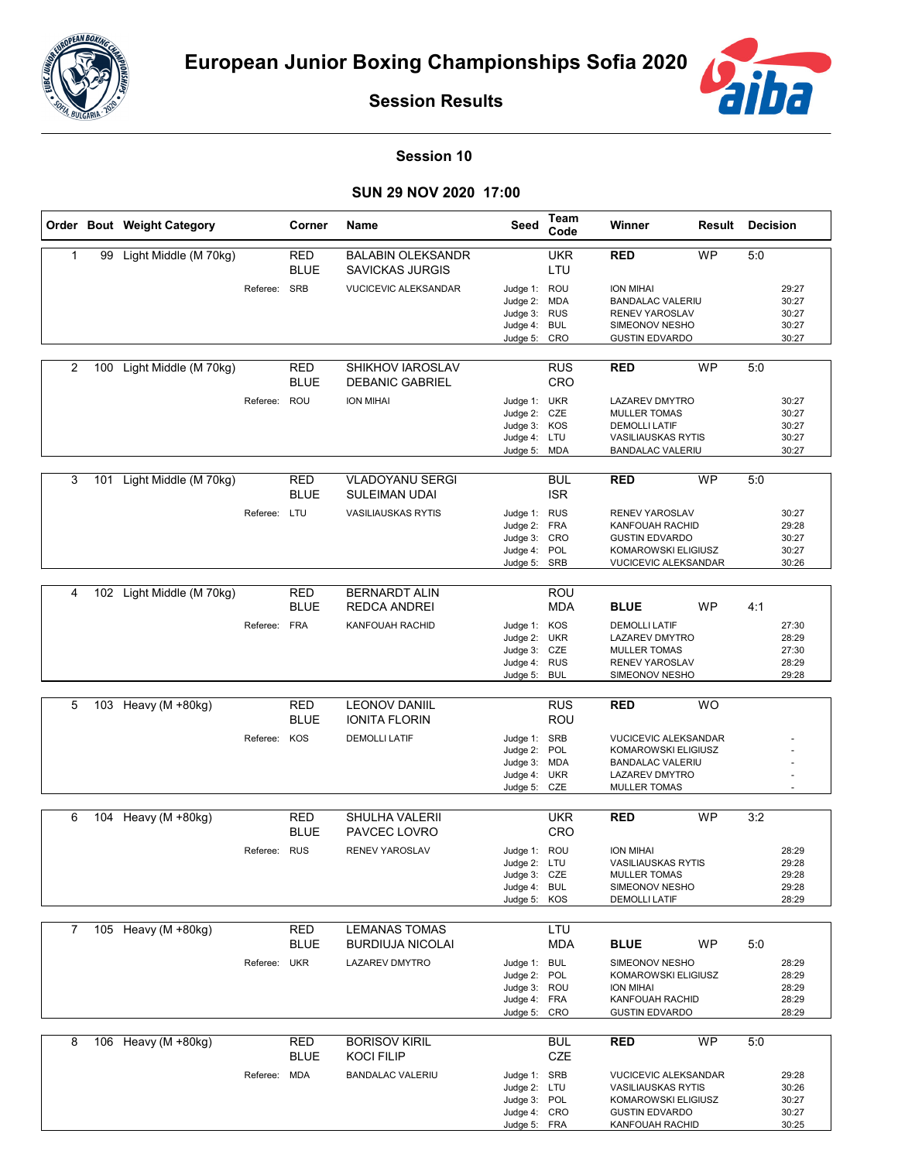



**Session Results**

## **Session 10**

## **SUN 29 NOV 2020 17:00**

|              |     | Order Bout Weight Category |              | Corner                    | Name                                               | Seed                                                                         | Team<br>Code             | Winner                                                                                                                      | Result    | <b>Decision</b> |                                           |
|--------------|-----|----------------------------|--------------|---------------------------|----------------------------------------------------|------------------------------------------------------------------------------|--------------------------|-----------------------------------------------------------------------------------------------------------------------------|-----------|-----------------|-------------------------------------------|
| $\mathbf{1}$ |     | 99 Light Middle (M 70kg)   |              | RED<br><b>BLUE</b>        | <b>BALABIN OLEKSANDR</b><br><b>SAVICKAS JURGIS</b> |                                                                              | <b>UKR</b><br>LTU        | <b>RED</b>                                                                                                                  | <b>WP</b> | 5:0             |                                           |
|              |     |                            | Referee: SRB |                           | <b>VUCICEVIC ALEKSANDAR</b>                        | Judge 1: ROU<br>Judge 2: MDA<br>Judge 3: RUS<br>Judge 4: BUL                 |                          | <b>ION MIHAI</b><br><b>BANDALAC VALERIU</b><br><b>RENEV YAROSLAV</b><br>SIMEONOV NESHO                                      |           |                 | 29:27<br>30:27<br>30:27<br>30:27          |
|              |     |                            |              |                           |                                                    | Judge 5: CRO                                                                 |                          | <b>GUSTIN EDVARDO</b>                                                                                                       |           |                 | 30:27                                     |
| 2            | 100 | Light Middle (M 70kg)      |              | <b>RED</b><br><b>BLUE</b> | <b>SHIKHOV IAROSLAV</b><br><b>DEBANIC GABRIEL</b>  |                                                                              | <b>RUS</b><br>CRO        | <b>RED</b>                                                                                                                  | <b>WP</b> | 5:0             |                                           |
|              |     |                            | Referee: ROU |                           | <b>ION MIHAI</b>                                   | Judge 1: UKR<br>Judge 2: CZE<br>Judge 3: KOS<br>Judge 4: LTU<br>Judge 5: MDA |                          | LAZAREV DMYTRO<br><b>MULLER TOMAS</b><br><b>DEMOLLI LATIF</b><br><b>VASILIAUSKAS RYTIS</b><br><b>BANDALAC VALERIU</b>       |           |                 | 30:27<br>30:27<br>30:27<br>30:27<br>30:27 |
| 3            |     | 101 Light Middle (M 70kg)  |              | RED<br><b>BLUE</b>        | <b>VLADOYANU SERGI</b><br><b>SULEIMAN UDAI</b>     |                                                                              | <b>BUL</b><br><b>ISR</b> | <b>RED</b>                                                                                                                  | <b>WP</b> | 5:0             |                                           |
|              |     |                            | Referee: LTU |                           | <b>VASILIAUSKAS RYTIS</b>                          | Judge 1: RUS<br>Judge 2: FRA<br>Judge 3: CRO<br>Judge 4: POL<br>Judge 5: SRB |                          | <b>RENEV YAROSLAV</b><br>KANFOUAH RACHID<br><b>GUSTIN EDVARDO</b><br>KOMAROWSKI ELIGIUSZ<br><b>VUCICEVIC ALEKSANDAR</b>     |           |                 | 30:27<br>29:28<br>30:27<br>30:27<br>30:26 |
| 4            |     | 102 Light Middle (M 70kg)  |              | RED                       | <b>BERNARDT ALIN</b>                               |                                                                              | ROU                      |                                                                                                                             |           |                 |                                           |
|              |     |                            |              | <b>BLUE</b>               | REDCA ANDREI                                       |                                                                              | <b>MDA</b>               | <b>BLUE</b>                                                                                                                 | <b>WP</b> | 4:1             |                                           |
|              |     |                            | Referee: FRA |                           | KANFOUAH RACHID                                    | Judge 1: KOS<br>Judge 2: UKR<br>Judge 3: CZE<br>Judge 4: RUS<br>Judge 5: BUL |                          | <b>DEMOLLI LATIF</b><br><b>LAZAREV DMYTRO</b><br><b>MULLER TOMAS</b><br><b>RENEV YAROSLAV</b><br>SIMEONOV NESHO             |           |                 | 27:30<br>28:29<br>27:30<br>28:29<br>29:28 |
|              |     |                            |              |                           |                                                    |                                                                              |                          |                                                                                                                             |           |                 |                                           |
| 5            |     | 103 Heavy (M +80kg)        |              | <b>RED</b><br><b>BLUE</b> | <b>LEONOV DANIIL</b><br><b>IONITA FLORIN</b>       |                                                                              | <b>RUS</b><br><b>ROU</b> | <b>RED</b>                                                                                                                  | <b>WO</b> |                 |                                           |
|              |     |                            | Referee: KOS |                           | <b>DEMOLLI LATIF</b>                               | Judge 1: SRB<br>Judge 2: POL<br>Judge 3: MDA<br>Judge 4: UKR<br>Judge 5: CZE |                          | <b>VUCICEVIC ALEKSANDAR</b><br>KOMAROWSKI ELIGIUSZ<br><b>BANDALAC VALERIU</b><br>LAZAREV DMYTRO<br><b>MULLER TOMAS</b>      |           |                 |                                           |
| 6            |     | 104 Heavy (M +80kg)        |              | <b>RED</b>                | SHULHA VALERII                                     |                                                                              | <b>UKR</b>               | <b>RED</b>                                                                                                                  | <b>WP</b> | 3:2             |                                           |
|              |     |                            |              | <b>BLUE</b>               | PAVCEC LOVRO                                       |                                                                              | <b>CRO</b>               |                                                                                                                             |           |                 |                                           |
|              |     |                            | Referee: RUS |                           | <b>RENEV YAROSLAV</b>                              | Judge 1: ROU<br>Judge 2: LTU<br>Judge 3: CZE<br>Judge 4: BUL<br>Judge 5: KOS |                          | ION MIHAI<br><b>VASILIAUSKAS RYTIS</b><br><b>MULLER TOMAS</b><br>SIMEONOV NESHO<br><b>DEMOLLI LATIF</b>                     |           |                 | 28:29<br>29:28<br>29:28<br>29:28<br>28:29 |
| $7^{\circ}$  |     | 105 Heavy (M +80kg)        |              | <b>RED</b>                | <b>LEMANAS TOMAS</b>                               |                                                                              | LTU                      |                                                                                                                             |           |                 |                                           |
|              |     |                            |              | <b>BLUE</b>               | <b>BURDIUJA NICOLAI</b>                            |                                                                              | <b>MDA</b>               | <b>BLUE</b>                                                                                                                 | <b>WP</b> | 5:0             |                                           |
|              |     |                            | Referee: UKR |                           | LAZAREV DMYTRO                                     | Judge 1: BUL<br>Judge 2: POL<br>Judge 3: ROU<br>Judge 4: FRA<br>Judge 5: CRO |                          | SIMEONOV NESHO<br>KOMAROWSKI ELIGIUSZ<br><b>ION MIHAI</b><br>KANFOUAH RACHID<br><b>GUSTIN EDVARDO</b>                       |           |                 | 28:29<br>28:29<br>28:29<br>28:29<br>28:29 |
| 8            |     | 106 Heavy (M +80kg)        |              | <b>RED</b>                | <b>BORISOV KIRIL</b>                               |                                                                              | <b>BUL</b>               | <b>RED</b>                                                                                                                  | <b>WP</b> | 5:0             |                                           |
|              |     |                            |              | <b>BLUE</b>               | <b>KOCI FILIP</b>                                  |                                                                              | CZE                      |                                                                                                                             |           |                 |                                           |
|              |     |                            | Referee: MDA |                           | <b>BANDALAC VALERIU</b>                            | Judge 1: SRB<br>Judge 2: LTU<br>Judge 3: POL<br>Judge 4: CRO<br>Judge 5: FRA |                          | <b>VUCICEVIC ALEKSANDAR</b><br><b>VASILIAUSKAS RYTIS</b><br>KOMAROWSKI ELIGIUSZ<br><b>GUSTIN EDVARDO</b><br>KANFOUAH RACHID |           |                 | 29:28<br>30:26<br>30:27<br>30:27<br>30:25 |